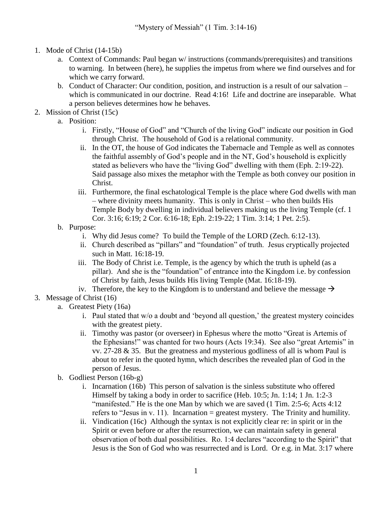- 1. Mode of Christ (14-15b)
	- a. Context of Commands: Paul began w/ instructions (commands/prerequisites) and transitions to warning. In between (here), he supplies the impetus from where we find ourselves and for which we carry forward.
	- b. Conduct of Character: Our condition, position, and instruction is a result of our salvation which is communicated in our doctrine. Read 4:16! Life and doctrine are inseparable. What a person believes determines how he behaves.
- 2. Mission of Christ (15c)
	- a. Position:
		- i. Firstly, "House of God" and "Church of the living God" indicate our position in God through Christ. The household of God is a relational community.
		- ii. In the OT, the house of God indicates the Tabernacle and Temple as well as connotes the faithful assembly of God's people and in the NT, God's household is explicitly stated as believers who have the "living God" dwelling with them (Eph. 2:19-22). Said passage also mixes the metaphor with the Temple as both convey our position in Christ.
		- iii. Furthermore, the final eschatological Temple is the place where God dwells with man – where divinity meets humanity. This is only in Christ – who then builds His Temple Body by dwelling in individual believers making us the living Temple (cf. 1 Cor. 3:16; 6:19; 2 Cor. 6:16-18; Eph. 2:19-22; 1 Tim. 3:14; 1 Pet. 2:5).
	- b. Purpose:
		- i. Why did Jesus come? To build the Temple of the LORD (Zech. 6:12-13).
		- ii. Church described as "pillars" and "foundation" of truth. Jesus cryptically projected such in Matt. 16:18-19.
		- iii. The Body of Christ i.e. Temple, is the agency by which the truth is upheld (as a pillar). And she is the "foundation" of entrance into the Kingdom i.e. by confession of Christ by faith, Jesus builds His living Temple (Mat. 16:18-19).
		- iv. Therefore, the key to the Kingdom is to understand and believe the message  $\rightarrow$
- 3. Message of Christ (16)
	- a. Greatest Piety (16a)
		- i. Paul stated that w/o a doubt and 'beyond all question,' the greatest mystery coincides with the greatest piety.
		- ii. Timothy was pastor (or overseer) in Ephesus where the motto "Great is Artemis of the Ephesians!" was chanted for two hours (Acts 19:34). See also "great Artemis" in vv.  $27-28 \& 35$ . But the greatness and mysterious godliness of all is whom Paul is about to refer in the quoted hymn, which describes the revealed plan of God in the person of Jesus.
	- b. Godliest Person (16b-g)
		- i. Incarnation (16b) This person of salvation is the sinless substitute who offered Himself by taking a body in order to sacrifice (Heb. 10:5; Jn. 1:14; 1 Jn. 1:2-3 "manifested." He is the one Man by which we are saved (1 Tim. 2:5-6; Acts 4:12 refers to "Jesus in v. 11). Incarnation = greatest mystery. The Trinity and humility.
		- ii. Vindication (16c) Although the syntax is not explicitly clear re: in spirit or in the Spirit or even before or after the resurrection, we can maintain safety in general observation of both dual possibilities. Ro. 1:4 declares "according to the Spirit" that Jesus is the Son of God who was resurrected and is Lord. Or e.g. in Mat. 3:17 where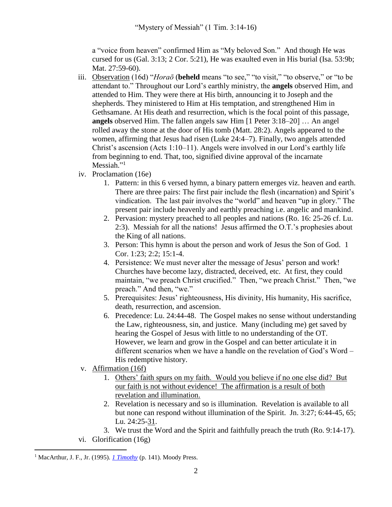a "voice from heaven" confirmed Him as "My beloved Son." And though He was cursed for us (Gal. 3:13; 2 Cor. 5:21), He was exaulted even in His burial (Isa. 53:9b; Mat. 27:59-60).

- iii. Observation (16d) "*Horaō* (**beheld** means "to see," "to visit," "to observe," or "to be attendant to." Throughout our Lord's earthly ministry, the **angels** observed Him, and attended to Him. They were there at His birth, announcing it to Joseph and the shepherds. They ministered to Him at His temptation, and strengthened Him in Gethsamane. At His death and resurrection, which is the focal point of this passage, **angels** observed Him. The fallen angels saw Him [1 Peter 3:18–20] … An angel rolled away the stone at the door of His tomb (Matt. 28:2). Angels appeared to the women, affirming that Jesus had risen (Luke 24:4–7). Finally, two angels attended Christ's ascension (Acts 1:10–11). Angels were involved in our Lord's earthly life from beginning to end. That, too, signified divine approval of the incarnate Messiah."<sup>1</sup>
- iv. Proclamation (16e)
	- 1. Pattern: in this 6 versed hymn, a binary pattern emerges viz. heaven and earth. There are three pairs: The first pair include the flesh (incarnation) and Spirit's vindication. The last pair involves the "world" and heaven "up in glory." The present pair include heavenly and earthly preaching i.e. angelic and mankind.
	- 2. Pervasion: mystery preached to all peoples and nations (Ro. 16: 25-26 cf. Lu. 2:3). Messiah for all the nations! Jesus affirmed the O.T.'s prophesies about the King of all nations.
	- 3. Person: This hymn is about the person and work of Jesus the Son of God. 1 Cor. 1:23; 2:2; 15:1-4.
	- 4. Persistence: We must never alter the message of Jesus' person and work! Churches have become lazy, distracted, deceived, etc. At first, they could maintain, "we preach Christ crucified." Then, "we preach Christ." Then, "we preach." And then, "we."
	- 5. Prerequisites: Jesus' righteousness, His divinity, His humanity, His sacrifice, death, resurrection, and ascension.
	- 6. Precedence: Lu. 24:44-48. The Gospel makes no sense without understanding the Law, righteousness, sin, and justice. Many (including me) get saved by hearing the Gospel of Jesus with little to no understanding of the OT. However, we learn and grow in the Gospel and can better articulate it in different scenarios when we have a handle on the revelation of God's Word – His redemptive history.
- v. Affirmation (16f)
	- 1. Others' faith spurs on my faith. Would you believe if no one else did? But our faith is not without evidence! The affirmation is a result of both revelation and illumination.
	- 2. Revelation is necessary and so is illumination. Revelation is available to all but none can respond without illumination of the Spirit. Jn. 3:27; 6:44-45, 65; Lu. 24:25-31.
	- 3. We trust the Word and the Spirit and faithfully preach the truth (Ro. 9:14-17).
- vi. Glorification (16g)

 $\overline{a}$ 

<sup>1</sup> MacArthur, J. F., Jr. (1995). *[1 Timothy](https://ref.ly/logosres/1timmntc?ref=Bible.1Ti3.16&off=8623&ctx=s+beheld+by+angels.+~Horao%CC%84+(beheld+means)* (p. 141). Moody Press.